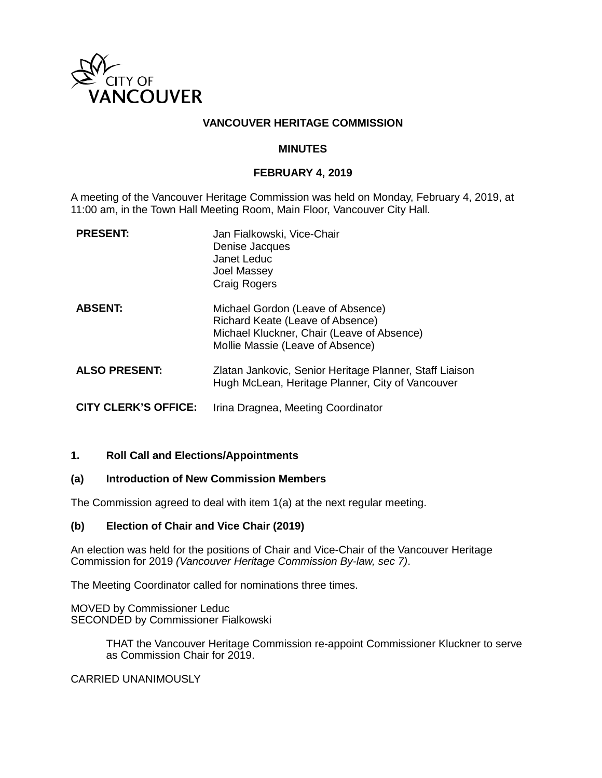

## **VANCOUVER HERITAGE COMMISSION**

### **MINUTES**

### **FEBRUARY 4, 2019**

A meeting of the Vancouver Heritage Commission was held on Monday, February 4, 2019, at 11:00 am, in the Town Hall Meeting Room, Main Floor, Vancouver City Hall.

| <b>PRESENT:</b>             | Jan Fialkowski, Vice-Chair<br>Denise Jacques<br>Janet Leduc<br>Joel Massey<br><b>Craig Rogers</b>                                                       |
|-----------------------------|---------------------------------------------------------------------------------------------------------------------------------------------------------|
| <b>ABSENT:</b>              | Michael Gordon (Leave of Absence)<br>Richard Keate (Leave of Absence)<br>Michael Kluckner, Chair (Leave of Absence)<br>Mollie Massie (Leave of Absence) |
| <b>ALSO PRESENT:</b>        | Zlatan Jankovic, Senior Heritage Planner, Staff Liaison<br>Hugh McLean, Heritage Planner, City of Vancouver                                             |
| <b>CITY CLERK'S OFFICE:</b> | Irina Dragnea, Meeting Coordinator                                                                                                                      |

### **1. Roll Call and Elections/Appointments**

### **(a) Introduction of New Commission Members**

The Commission agreed to deal with item 1(a) at the next regular meeting.

### **(b) Election of Chair and Vice Chair (2019)**

An election was held for the positions of Chair and Vice-Chair of the Vancouver Heritage Commission for 2019 *(Vancouver Heritage Commission By-law, sec 7)*.

The Meeting Coordinator called for nominations three times.

MOVED by Commissioner Leduc SECONDED by Commissioner Fialkowski

> THAT the Vancouver Heritage Commission re-appoint Commissioner Kluckner to serve as Commission Chair for 2019.

CARRIED UNANIMOUSLY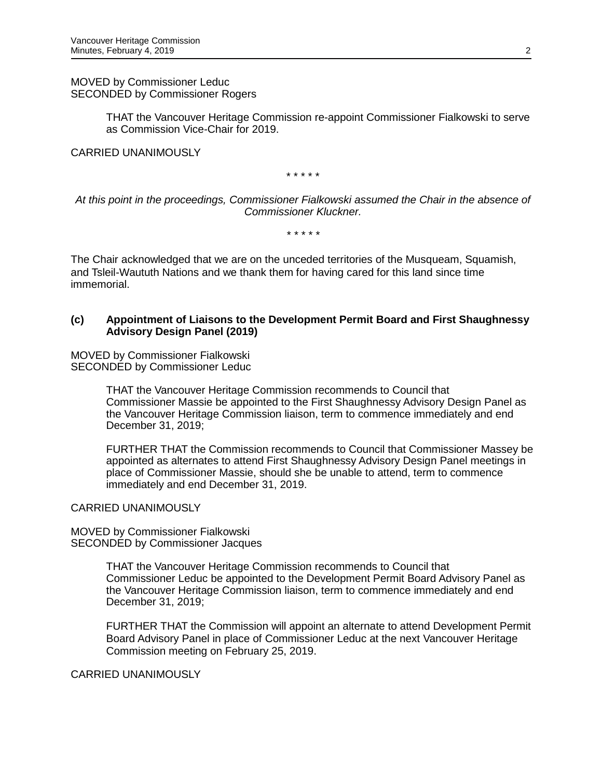MOVED by Commissioner Leduc SECONDED by Commissioner Rogers

> THAT the Vancouver Heritage Commission re-appoint Commissioner Fialkowski to serve as Commission Vice-Chair for 2019.

CARRIED UNANIMOUSLY

\* \* \* \* \*

*At this point in the proceedings, Commissioner Fialkowski assumed the Chair in the absence of Commissioner Kluckner.* 

*\* \* \* \* \**

The Chair acknowledged that we are on the unceded territories of the Musqueam, Squamish, and Tsleil-Waututh Nations and we thank them for having cared for this land since time immemorial.

### **(c) Appointment of Liaisons to the Development Permit Board and First Shaughnessy Advisory Design Panel (2019)**

MOVED by Commissioner Fialkowski SECONDED by Commissioner Leduc

> THAT the Vancouver Heritage Commission recommends to Council that Commissioner Massie be appointed to the First Shaughnessy Advisory Design Panel as the Vancouver Heritage Commission liaison, term to commence immediately and end December 31, 2019;

FURTHER THAT the Commission recommends to Council that Commissioner Massey be appointed as alternates to attend First Shaughnessy Advisory Design Panel meetings in place of Commissioner Massie, should she be unable to attend, term to commence immediately and end December 31, 2019.

CARRIED UNANIMOUSLY

MOVED by Commissioner Fialkowski SECONDED by Commissioner Jacques

> THAT the Vancouver Heritage Commission recommends to Council that Commissioner Leduc be appointed to the Development Permit Board Advisory Panel as the Vancouver Heritage Commission liaison, term to commence immediately and end December 31, 2019;

FURTHER THAT the Commission will appoint an alternate to attend Development Permit Board Advisory Panel in place of Commissioner Leduc at the next Vancouver Heritage Commission meeting on February 25, 2019.

CARRIED UNANIMOUSLY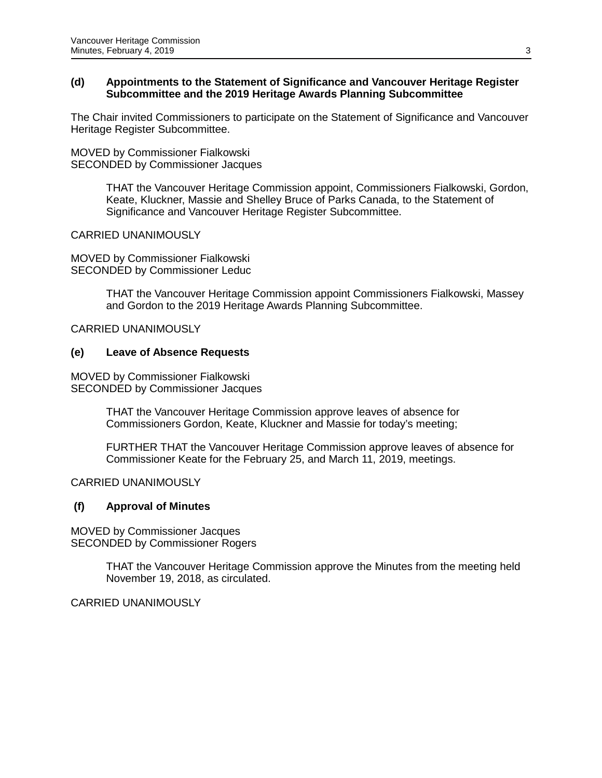### **(d) Appointments to the Statement of Significance and Vancouver Heritage Register Subcommittee and the 2019 Heritage Awards Planning Subcommittee**

The Chair invited Commissioners to participate on the Statement of Significance and Vancouver Heritage Register Subcommittee.

MOVED by Commissioner Fialkowski SECONDED by Commissioner Jacques

> THAT the Vancouver Heritage Commission appoint, Commissioners Fialkowski, Gordon, Keate, Kluckner, Massie and Shelley Bruce of Parks Canada, to the Statement of Significance and Vancouver Heritage Register Subcommittee.

## CARRIED UNANIMOUSLY

MOVED by Commissioner Fialkowski SECONDED by Commissioner Leduc

> THAT the Vancouver Heritage Commission appoint Commissioners Fialkowski, Massey and Gordon to the 2019 Heritage Awards Planning Subcommittee.

CARRIED UNANIMOUSLY

## **(e) Leave of Absence Requests**

MOVED by Commissioner Fialkowski SECONDED by Commissioner Jacques

> THAT the Vancouver Heritage Commission approve leaves of absence for Commissioners Gordon, Keate, Kluckner and Massie for today's meeting;

FURTHER THAT the Vancouver Heritage Commission approve leaves of absence for Commissioner Keate for the February 25, and March 11, 2019, meetings.

CARRIED UNANIMOUSLY

## **(f) Approval of Minutes**

MOVED by Commissioner Jacques SECONDED by Commissioner Rogers

> THAT the Vancouver Heritage Commission approve the Minutes from the meeting held November 19, 2018, as circulated.

CARRIED UNANIMOUSLY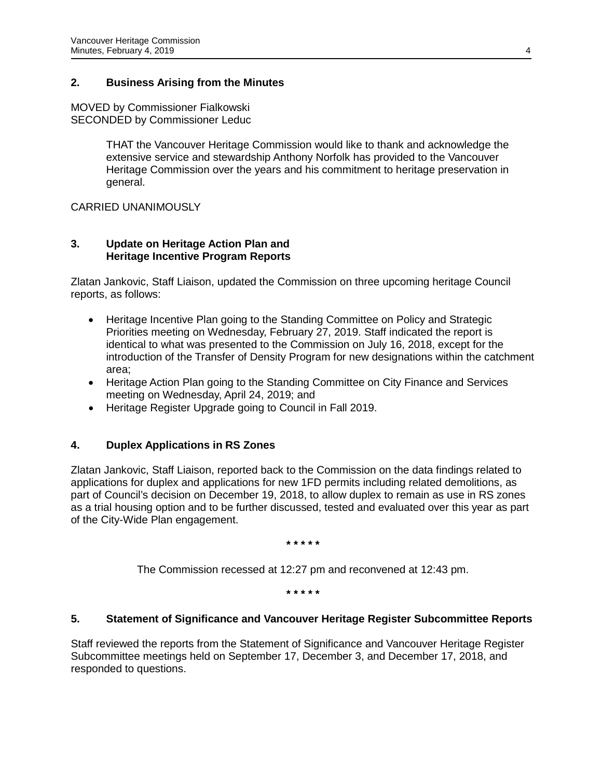## **2. Business Arising from the Minutes**

MOVED by Commissioner Fialkowski SECONDED by Commissioner Leduc

> THAT the Vancouver Heritage Commission would like to thank and acknowledge the extensive service and stewardship Anthony Norfolk has provided to the Vancouver Heritage Commission over the years and his commitment to heritage preservation in general.

CARRIED UNANIMOUSLY

## **3. Update on Heritage Action Plan and Heritage Incentive Program Reports**

Zlatan Jankovic, Staff Liaison, updated the Commission on three upcoming heritage Council reports, as follows:

- Heritage Incentive Plan going to the Standing Committee on Policy and Strategic Priorities meeting on Wednesday, February 27, 2019. Staff indicated the report is identical to what was presented to the Commission on July 16, 2018, except for the introduction of the Transfer of Density Program for new designations within the catchment area;
- Heritage Action Plan going to the Standing Committee on City Finance and Services meeting on Wednesday, April 24, 2019; and
- Heritage Register Upgrade going to Council in Fall 2019.

## **4. Duplex Applications in RS Zones**

Zlatan Jankovic, Staff Liaison, reported back to the Commission on the data findings related to applications for duplex and applications for new 1FD permits including related demolitions, as part of Council's decision on December 19, 2018, to allow duplex to remain as use in RS zones as a trial housing option and to be further discussed, tested and evaluated over this year as part of the City-Wide Plan engagement.

**\* \* \* \* \***

The Commission recessed at 12:27 pm and reconvened at 12:43 pm.

**\* \* \* \* \***

### **5. Statement of Significance and Vancouver Heritage Register Subcommittee Reports**

Staff reviewed the reports from the Statement of Significance and Vancouver Heritage Register Subcommittee meetings held on September 17, December 3, and December 17, 2018, and responded to questions.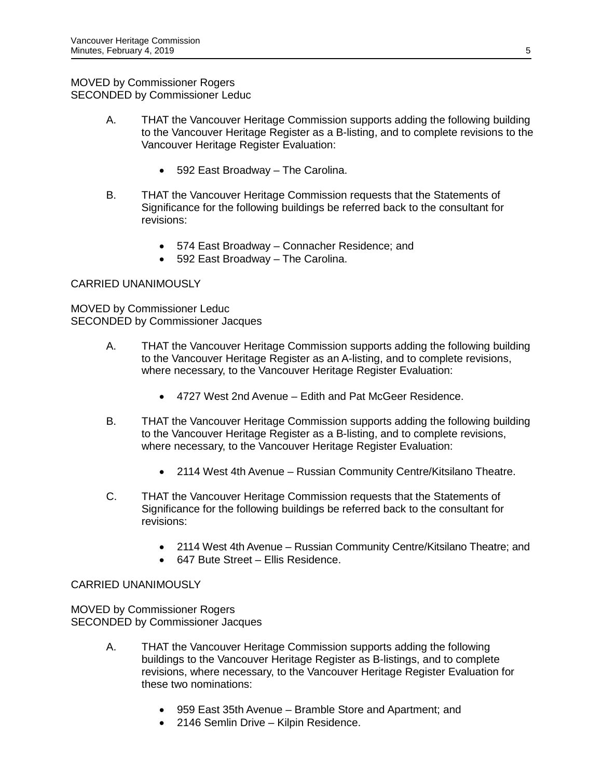## MOVED by Commissioner Rogers SECONDED by Commissioner Leduc

- A. THAT the Vancouver Heritage Commission supports adding the following building to the Vancouver Heritage Register as a B-listing, and to complete revisions to the Vancouver Heritage Register Evaluation:
	- 592 East Broadway The Carolina.
- B. THAT the Vancouver Heritage Commission requests that the Statements of Significance for the following buildings be referred back to the consultant for revisions:
	- 574 East Broadway Connacher Residence; and
	- 592 East Broadway The Carolina.

# CARRIED UNANIMOUSLY

MOVED by Commissioner Leduc SECONDED by Commissioner Jacques

- A. THAT the Vancouver Heritage Commission supports adding the following building to the Vancouver Heritage Register as an A-listing, and to complete revisions, where necessary, to the Vancouver Heritage Register Evaluation:
	- 4727 West 2nd Avenue Edith and Pat McGeer Residence.
- B. THAT the Vancouver Heritage Commission supports adding the following building to the Vancouver Heritage Register as a B-listing, and to complete revisions, where necessary, to the Vancouver Heritage Register Evaluation:
	- 2114 West 4th Avenue Russian Community Centre/Kitsilano Theatre.
- C. THAT the Vancouver Heritage Commission requests that the Statements of Significance for the following buildings be referred back to the consultant for revisions:
	- 2114 West 4th Avenue Russian Community Centre/Kitsilano Theatre; and
	- 647 Bute Street Ellis Residence.

## CARRIED UNANIMOUSLY

MOVED by Commissioner Rogers SECONDED by Commissioner Jacques

- A. THAT the Vancouver Heritage Commission supports adding the following buildings to the Vancouver Heritage Register as B-listings, and to complete revisions, where necessary, to the Vancouver Heritage Register Evaluation for these two nominations:
	- 959 East 35th Avenue Bramble Store and Apartment; and
	- 2146 Semlin Drive Kilpin Residence.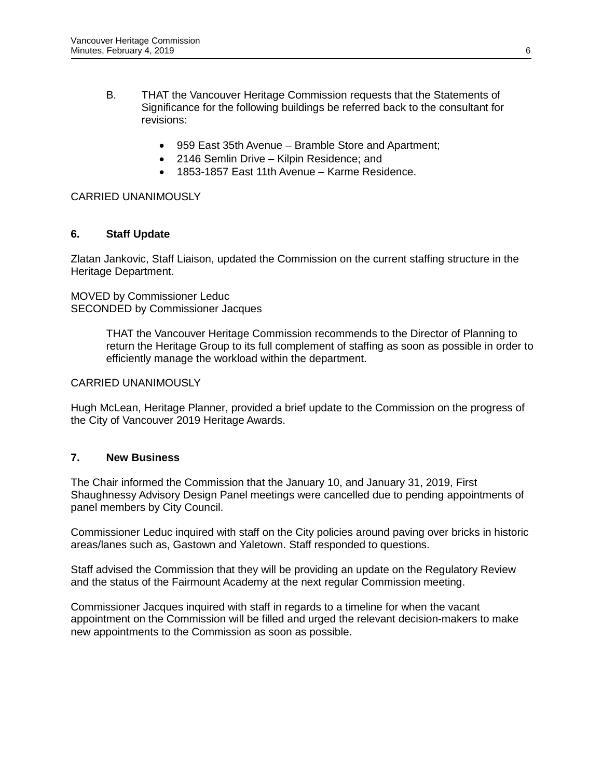- B. THAT the Vancouver Heritage Commission requests that the Statements of Significance for the following buildings be referred back to the consultant for revisions:
	- 959 East 35th Avenue Bramble Store and Apartment;
	- 2146 Semlin Drive Kilpin Residence; and
	- 1853-1857 East 11th Avenue Karme Residence.

### CARRIED UNANIMOUSLY

## **6. Staff Update**

Zlatan Jankovic, Staff Liaison, updated the Commission on the current staffing structure in the Heritage Department.

MOVED by Commissioner Leduc SECONDED by Commissioner Jacques

> THAT the Vancouver Heritage Commission recommends to the Director of Planning to return the Heritage Group to its full complement of staffing as soon as possible in order to efficiently manage the workload within the department.

### CARRIED UNANIMOUSLY

Hugh McLean, Heritage Planner, provided a brief update to the Commission on the progress of the City of Vancouver 2019 Heritage Awards.

### **7. New Business**

The Chair informed the Commission that the January 10, and January 31, 2019, First Shaughnessy Advisory Design Panel meetings were cancelled due to pending appointments of panel members by City Council.

Commissioner Leduc inquired with staff on the City policies around paving over bricks in historic areas/lanes such as, Gastown and Yaletown. Staff responded to questions.

Staff advised the Commission that they will be providing an update on the Regulatory Review and the status of the Fairmount Academy at the next regular Commission meeting.

Commissioner Jacques inquired with staff in regards to a timeline for when the vacant appointment on the Commission will be filled and urged the relevant decision-makers to make new appointments to the Commission as soon as possible.